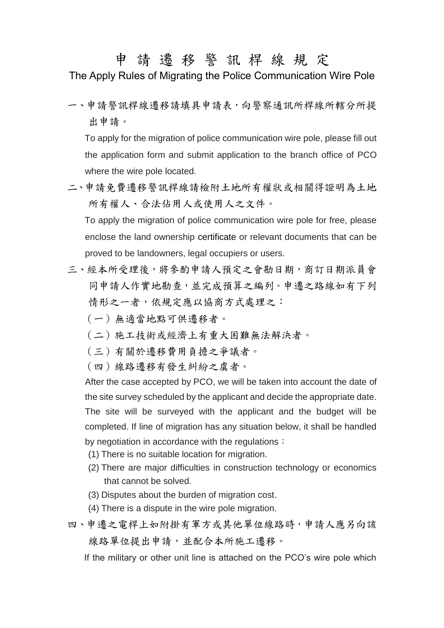## 申 請 遷 移 警 訊 桿 線 規 定

The Apply Rules of Migrating the Police Communication Wire Pole

一、申請警訊桿線遷移請填具申請表,向警察通訊所桿線所轄分所提 出申請。

To apply for the migration of police communication wire pole, please fill out the application form and submit application to the branch office of PCO where the wire pole located.

二、申請免費遷移警訊桿線請檢附土地所有權狀或相關得證明為土地 所有權人、合法佔用人或使用人之文件。

To apply the migration of police communication wire pole for free, please enclose the land ownership certificate or relevant documents that can be proved to be landowners, legal occupiers or users.

- 三、經本所受理後,將參酌申請人預定之會勘日期,商訂日期派員會 同申請人作實地勘查,並完成預算之編列。申遷之路線如有下列 情形之一者,依規定應以協商方式處理之:
	- (一)無適當地點可供遷移者。
	- (二)施工技術或經濟上有重大困難無法解決者。
	- (三)有關於遷移費用負擔之爭議者。
	- (四)線路遷移有發生糾紛之虞者。

After the case accepted by PCO, we will be taken into account the date of the site survey scheduled by the applicant and decide the appropriate date. The site will be surveyed with the applicant and the budget will be completed. If line of migration has any situation below, it shall be handled by negotiation in accordance with the regulations:

- (1) There is no suitable location for migration.
- (2) There are major difficulties in construction technology or economics that cannot be solved.
- (3) Disputes about the burden of migration cost.
- (4) There is a dispute in the wire pole migration.
- 四、申遷之電桿上如附掛有軍方或其他單位線路時,申請人應另向該 線路單位提出申請,並配合本所施工遷移。

If the military or other unit line is attached on the PCO's wire pole which